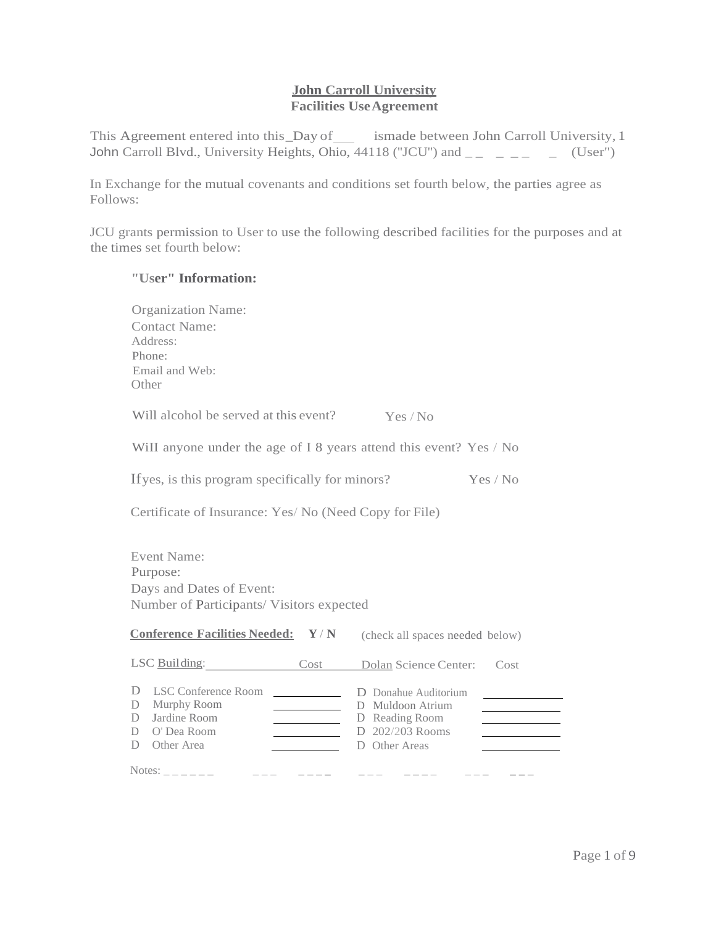## **John Carroll University Facilities UseAgreement**

This Agreement entered into this\_Day of ismade between John Carroll University, 1 John Carroll Blvd., University Heights, Ohio, 44118 ("JCU") and  $\overline{a}$   $\overline{a}$   $\overline{a}$   $\overline{a}$   $\overline{a}$  (User")

In Exchange for the mutual covenants and conditions set fourth below, the parties agree as Follows:

JCU grants permission to User to use the following described facilities for the purposes and at the times set fourth below:

## **"User" Information:**

| <b>Organization Name:</b><br><b>Contact Name:</b><br>Address:<br>Phone:<br>Email and Web:<br>Other                                                                                                                                                                                                                                                                                             |                                                                                                                                         |  |  |
|------------------------------------------------------------------------------------------------------------------------------------------------------------------------------------------------------------------------------------------------------------------------------------------------------------------------------------------------------------------------------------------------|-----------------------------------------------------------------------------------------------------------------------------------------|--|--|
| Will alcohol be served at this event?                                                                                                                                                                                                                                                                                                                                                          | Yes / No                                                                                                                                |  |  |
| Will anyone under the age of I 8 years attend this event? Yes / No                                                                                                                                                                                                                                                                                                                             |                                                                                                                                         |  |  |
| If yes, is this program specifically for minors?<br>Yes / No                                                                                                                                                                                                                                                                                                                                   |                                                                                                                                         |  |  |
| Certificate of Insurance: Yes/ No (Need Copy for File)                                                                                                                                                                                                                                                                                                                                         |                                                                                                                                         |  |  |
| <b>Event Name:</b><br>Purpose:<br>Days and Dates of Event:<br>Number of Participants/Visitors expected                                                                                                                                                                                                                                                                                         |                                                                                                                                         |  |  |
| <b>Conference Facilities Needed:</b><br>$\mathbf{Y}/\mathbf{N}$                                                                                                                                                                                                                                                                                                                                | (check all spaces needed below)                                                                                                         |  |  |
| LSC Building: Cost Dolan Science Center:                                                                                                                                                                                                                                                                                                                                                       | Cost                                                                                                                                    |  |  |
| D<br>LSC Conference Room<br>D<br>Murphy Room<br><u>experience</u> and the state of the state of<br>Jardine Room<br>D<br>O' Dea Room<br>D<br>Other Area<br>D                                                                                                                                                                                                                                    | D Donahue Auditorium<br>D Muldoon Atrium<br>D Reading Room<br>D 202/203 Rooms<br>D Other Areas<br>and the control of the control of the |  |  |
| Notes: $\frac{1}{2}$ $\frac{1}{2}$ $\frac{1}{2}$ $\frac{1}{2}$ $\frac{1}{2}$ $\frac{1}{2}$ $\frac{1}{2}$ $\frac{1}{2}$ $\frac{1}{2}$ $\frac{1}{2}$ $\frac{1}{2}$ $\frac{1}{2}$ $\frac{1}{2}$ $\frac{1}{2}$ $\frac{1}{2}$ $\frac{1}{2}$ $\frac{1}{2}$ $\frac{1}{2}$ $\frac{1}{2}$ $\frac{1}{2}$ $\frac{1}{2}$ $\frac{$<br>$\begin{array}{cccccccccccccc} - & - & - & - & - & - & - \end{array}$ |                                                                                                                                         |  |  |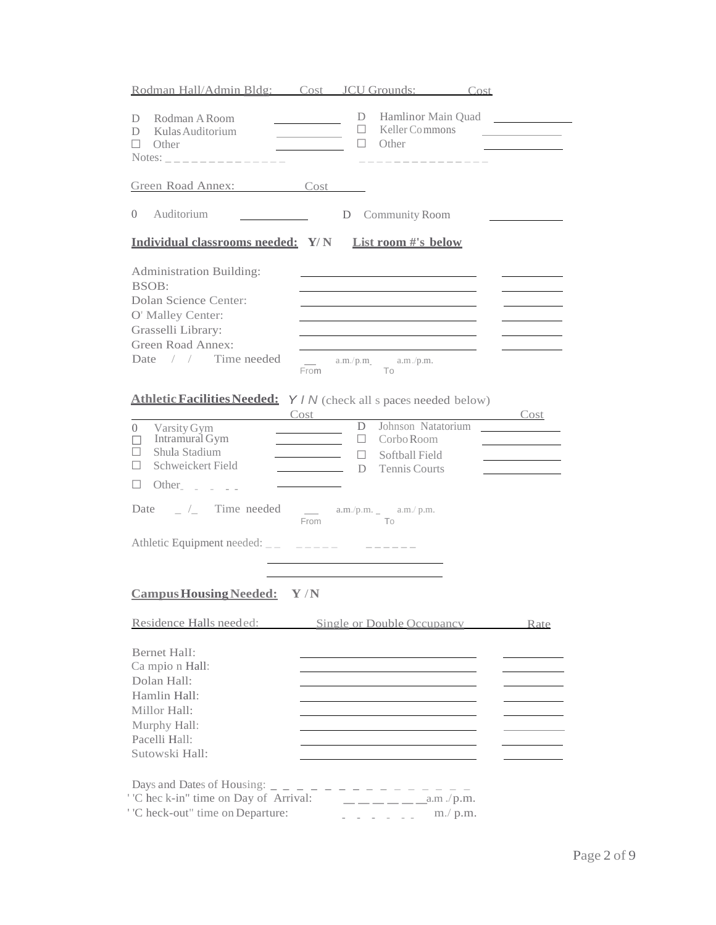| Rodman Hall/Admin Bldg: Cost JCU Grounds: Cost                                                                                                                                                                                                                                     |                                                                                                                       |                                                 |                                                           |                                      |
|------------------------------------------------------------------------------------------------------------------------------------------------------------------------------------------------------------------------------------------------------------------------------------|-----------------------------------------------------------------------------------------------------------------------|-------------------------------------------------|-----------------------------------------------------------|--------------------------------------|
| Rodman A Room<br>D<br>Kulas Auditorium<br>D<br>Other<br>Notes: _______________                                                                                                                                                                                                     | <u> The Common State Common</u>                                                                                       | D<br>$\Box$                                     | $\Box$ Other                                              | Hamlinor Main Quad<br>Keller Commons |
|                                                                                                                                                                                                                                                                                    |                                                                                                                       |                                                 | _______________                                           |                                      |
| Green Road Annex: Cost                                                                                                                                                                                                                                                             |                                                                                                                       |                                                 |                                                           |                                      |
| Auditorium<br>$\Omega$                                                                                                                                                                                                                                                             | <u> 1990 - Jan Barbara III, politik politik (</u>                                                                     | D Community Room                                |                                                           |                                      |
| Individual classrooms needed: Y/N List room #'s below                                                                                                                                                                                                                              |                                                                                                                       |                                                 |                                                           |                                      |
| <b>Administration Building:</b><br>BSOB:<br>Dolan Science Center:<br>O' Malley Center:<br>Grasselli Library:<br>Green Road Annex:<br>Date / / Time needed                                                                                                                          | From                                                                                                                  | $\frac{1}{2}$ a.m./p.m. $\frac{1}{2}$ a.m./p.m. | <u> 1989 - Johann Barnett, fransk politiker (d. 1989)</u> |                                      |
| Athletic Facilities Needed: Y / N (check all s paces needed below)                                                                                                                                                                                                                 | Cost                                                                                                                  |                                                 |                                                           | <u>Cost</u>                          |
| Varsity Gym<br>$\Omega$<br>Intramural Gym<br>П<br>Shula Stadium<br>$\mathsf{L}$<br>Schweickert Field<br>П<br>Other $\overline{\phantom{a}}$ $\overline{\phantom{a}}$ $\overline{\phantom{a}}$ $\overline{\phantom{a}}$ $\overline{\phantom{a}}$ $\overline{\phantom{a}}$<br>$\Box$ | <u> Albanya di Bandari Bandari Bandari Bandari Bandari Bandari Bandari Bandari Bandari Bandari Bandari Bandari Ba</u> | D.<br>ш<br>П.<br>D                              | Corbo Room<br>Softball Field<br>Tennis Courts             | Johnson Natatorium                   |
| Date $\qquad \qquad \_$ /_ Time needed __ a.m./p.m. _ a.m./p.m.                                                                                                                                                                                                                    | From                                                                                                                  | To                                              |                                                           |                                      |
| Athletic Equipment needed: __ _ _____ _ __ ____                                                                                                                                                                                                                                    |                                                                                                                       |                                                 |                                                           |                                      |
| Campus Housing Needed: Y/N                                                                                                                                                                                                                                                         |                                                                                                                       |                                                 |                                                           |                                      |
| Residence Halls needed: Single or Double Occupancy Rate                                                                                                                                                                                                                            |                                                                                                                       |                                                 |                                                           |                                      |
| <b>Bernet Hall:</b><br>Ca mpio n Hall:<br>Dolan Hall:<br>Hamlin Hall:<br>Millor Hall:<br>Murphy Hall:<br>Pacelli Hall:<br>Sutowski Hall:                                                                                                                                           |                                                                                                                       |                                                 |                                                           |                                      |
| Days and Dates of Housing: $-$ - - - - - - - -<br>'C hec k-in" time on Day of Arrival:<br>'C heck-out" time on Departure:                                                                                                                                                          |                                                                                                                       |                                                 | $         \alpha$ .m.<br>$m$ ./ $p.m.$                    |                                      |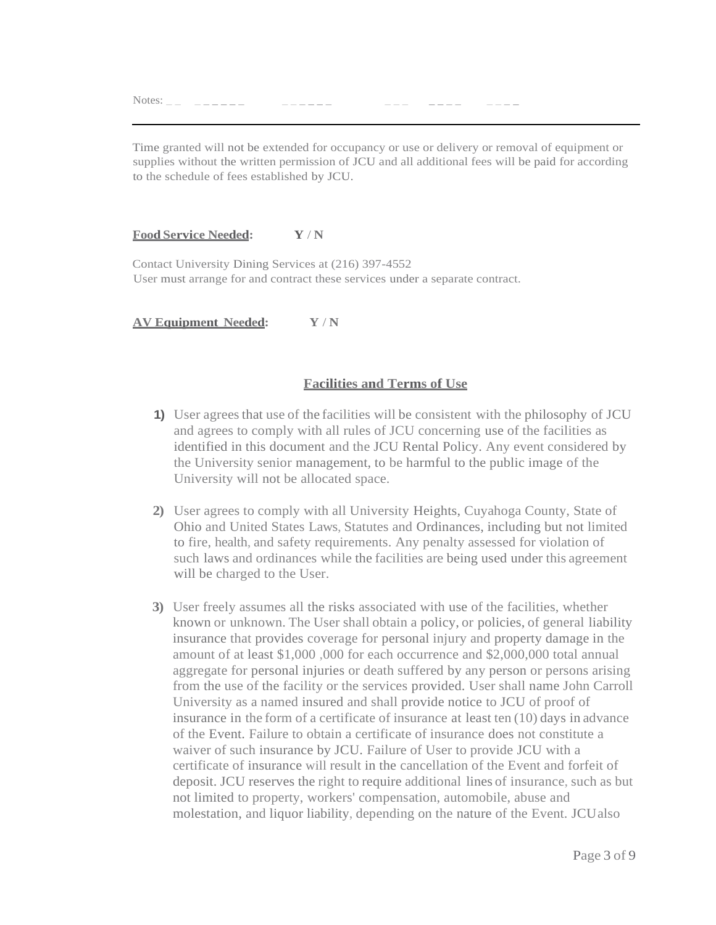Notes: \_ \_ \_ \_ \_ \_ \_ \_ \_ \_ \_ \_ \_ \_ \_ \_ \_ \_ \_ \_ \_ \_ \_ \_ \_

Time granted will not be extended for occupancy or use or delivery or removal of equipment or supplies without the written permission of JCU and all additional fees will be paid for according to the schedule of fees established by JCU.

#### **Food Service Needed: Y** / **N**

Contact University Dining Services at (216) 397-4552 User must arrange for and contract these services under a separate contract.

**AV Equipment Needed: Y** / **N**

#### **Facilities and Terms of Use**

- **1)** User agrees that use of the facilities will be consistent with the philosophy of JCU and agrees to comply with all rules of JCU concerning use of the facilities as identified in this document and the JCU Rental Policy. Any event considered by the University senior management, to be harmful to the public image of the University will not be allocated space.
- **2)** User agrees to comply with all University Heights, Cuyahoga County, State of Ohio and United States Laws, Statutes and Ordinances, including but not limited to fire, health, and safety requirements. Any penalty assessed for violation of such laws and ordinances while the facilities are being used under this agreement will be charged to the User.
- **3)** User freely assumes all the risks associated with use of the facilities, whether known or unknown. The User shall obtain a policy, or policies, of general liability insurance that provides coverage for personal injury and property damage in the amount of at least \$1,000 ,000 for each occurrence and \$2,000,000 total annual aggregate for personal injuries or death suffered by any person or persons arising from the use of the facility or the services provided. User shall name John Carroll University as a named insured and shall provide notice to JCU of proof of insurance in the form of a certificate of insurance at least ten (10) days in advance of the Event. Failure to obtain a certificate of insurance does not constitute a waiver of such insurance by JCU. Failure of User to provide JCU with a certificate of insurance will result in the cancellation of the Event and forfeit of deposit. JCU reserves the right to require additional lines of insurance, such as but not limited to property, workers' compensation, automobile, abuse and molestation, and liquor liability, depending on the nature of the Event. JCUalso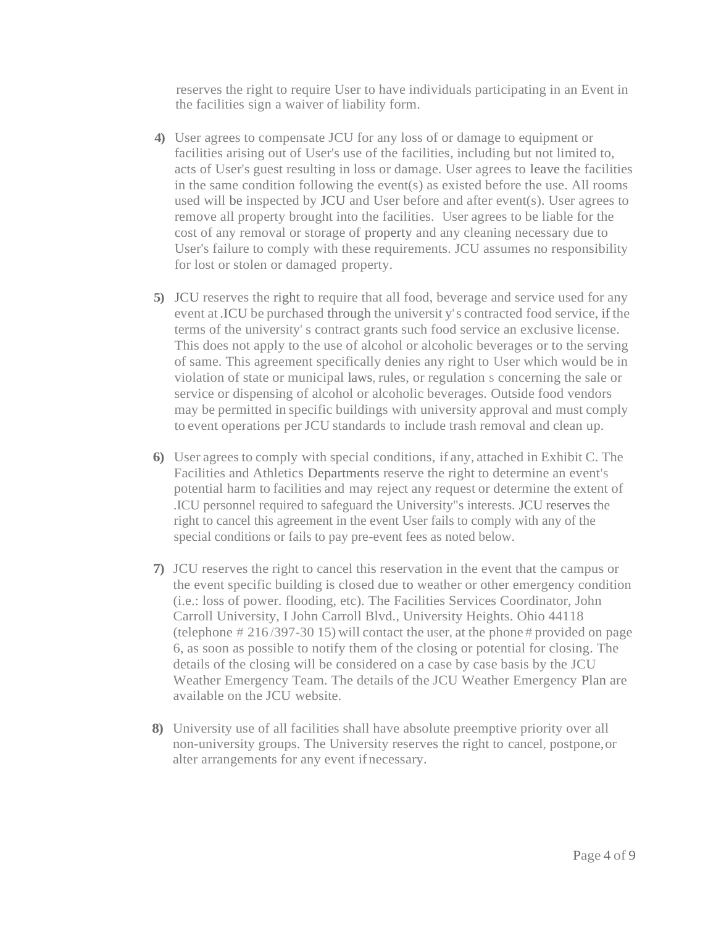reserves the right to require User to have individuals participating in an Event in the facilities sign a waiver of liability form.

- **4)** User agrees to compensate JCU for any loss of or damage to equipment or facilities arising out of User's use of the facilities, including but not limited to, acts of User's guest resulting in loss or damage. User agrees to leave the facilities in the same condition following the event(s) as existed before the use. All rooms used will be inspected by JCU and User before and after event(s). User agrees to remove all property brought into the facilities. User agrees to be liable for the cost of any removal or storage of property and any cleaning necessary due to User's failure to comply with these requirements. JCU assumes no responsibility for lost or stolen or damaged property.
- **5)** JCU reserves the right to require that all food, beverage and service used for any event at .ICU be purchased through the universit y's contracted food service, if the terms of the university' s contract grants such food service an exclusive license. This does not apply to the use of alcohol or alcoholic beverages or to the serving of same. This agreement specifically denies any right to User which would be in violation of state or municipal laws, rules, or regulation s concerning the sale or service or dispensing of alcohol or alcoholic beverages. Outside food vendors may be permitted in specific buildings with university approval and must comply to event operations per JCU standards to include trash removal and clean up.
- **6)** User agrees to comply with special conditions, if any, attached in Exhibit C. The Facilities and Athletics Departments reserve the right to determine an event's potential harm to facilities and may reject any request or determine the extent of .ICU personnel required to safeguard the University"s interests. JCU reserves the right to cancel this agreement in the event User fails to comply with any of the special conditions or fails to pay pre-event fees as noted below.
- **7)** JCU reserves the right to cancel this reservation in the event that the campus or the event specific building is closed due to weather or other emergency condition (i.e.: loss of power. flooding, etc). The Facilities Services Coordinator, John Carroll University, I John Carroll Blvd., University Heights. Ohio 44118 (telephone  $\# 216/397-3015$ ) will contact the user, at the phone  $\#$  provided on page 6, as soon as possible to notify them of the closing or potential for closing. The details of the closing will be considered on a case by case basis by the JCU Weather Emergency Team. The details of the JCU Weather Emergency Plan are available on the JCU website.
- **8)** University use of all facilities shall have absolute preemptive priority over all non-university groups. The University reserves the right to cancel, postpone,or alter arrangements for any event ifnecessary.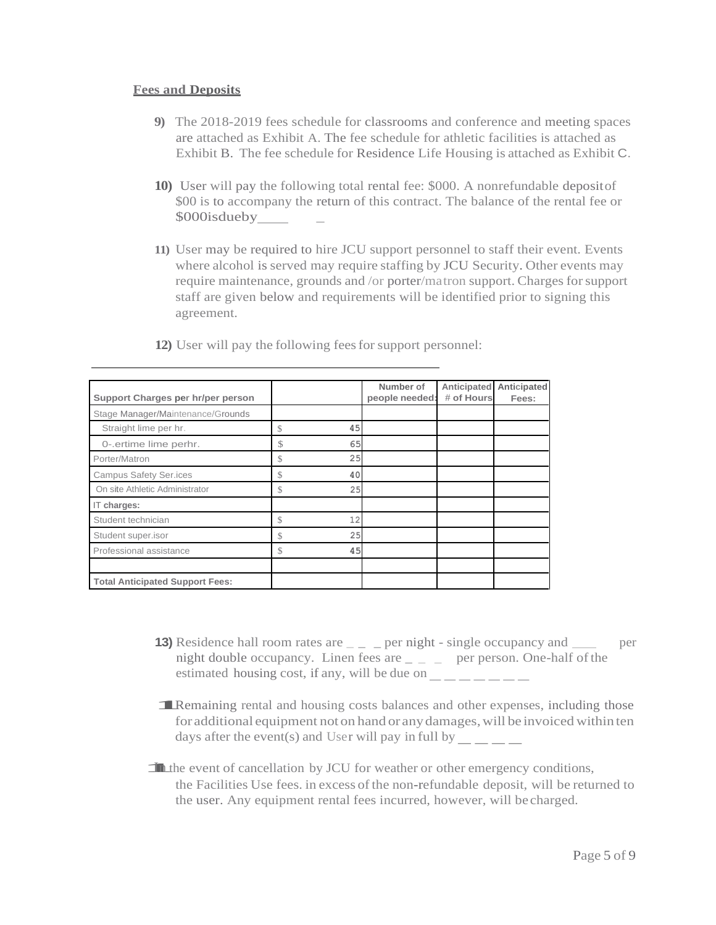#### **Fees and Deposits**

- **9)** The 2018-2019 fees schedule for classrooms and conference and meeting spaces are attached as Exhibit A. The fee schedule for athletic facilities is attached as Exhibit B. The fee schedule for Residence Life Housing is attached as Exhibit C.
- **10)** User will pay the following total rental fee: \$000. A nonrefundable depositof \$00 is to accompany the return of this contract. The balance of the rental fee or \$000isdueby \_
- **11)** User may be required to hire JCU support personnel to staff their event. Events where alcohol is served may require staffing by JCU Security. Other events may require maintenance, grounds and /or porter/matron support. Charges forsupport staff are given below and requirements will be identified prior to signing this agreement.

|                                        |               |    | Number of      | Anticipated | Anticipated |
|----------------------------------------|---------------|----|----------------|-------------|-------------|
| Support Charges per hr/per person      |               |    | people needed: | # of Hours  | Fees:       |
| Stage Manager/Maintenance/Grounds      |               |    |                |             |             |
| Straight lime per hr.                  | \$            | 45 |                |             |             |
| 0-.ertime lime perhr.                  | \$            | 65 |                |             |             |
| Porter/Matron                          | \$            | 25 |                |             |             |
| <b>Campus Safety Ser.ices</b>          | \$            | 40 |                |             |             |
| On site Athletic Administrator         | \$            | 25 |                |             |             |
| IT charges:                            |               |    |                |             |             |
| Student technician                     | $\mathcal{S}$ | 12 |                |             |             |
| Student super.isor                     | S.            | 25 |                |             |             |
| Professional assistance                | $\mathcal{S}$ | 45 |                |             |             |
|                                        |               |    |                |             |             |
| <b>Total Anticipated Support Fees:</b> |               |    |                |             |             |

**12)** User will pay the following feesfor support personnel:

- **13)** Residence hall room rates are  $\angle$   $\angle$  per night single occupancy and per night double occupancy. Linen fees are  $\angle$   $\angle$   $\angle$  per person. One-half of the estimated housing cost, if any, will be due on  $-$  per person. O
- **1**Remaining rental and housing costs balances and other expenses, including those for additional equipment not on hand or any damages, will be invoiced within ten days after the event(s) and User will pay in full by  $\_\_\_\_\_\_\_\_\_\_\_$ days after the event(s) and User will pay in full by
- **1**In the event of cancellation by JCU for weather or other emergency conditions, the Facilities Use fees. in excess of the non-refundable deposit, will be returned to the user. Any equipment rental fees incurred, however, will be charged.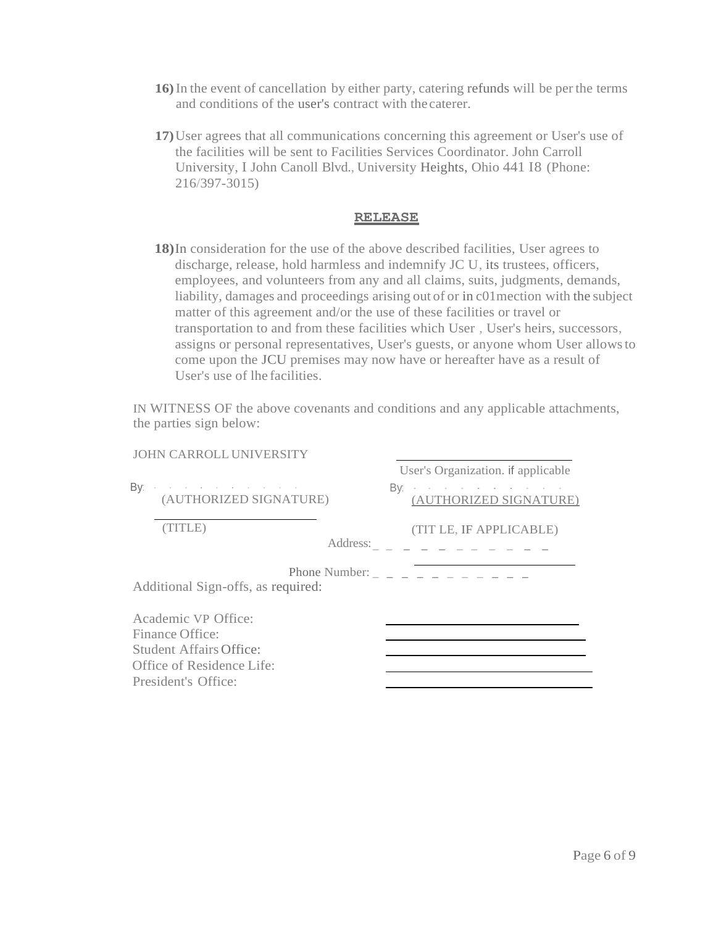- **16)**In the event of cancellation by either party, catering refunds will be per the terms and conditions of the user's contract with thecaterer.
- **17)**User agrees that all communications concerning this agreement or User's use of the facilities will be sent to Facilities Services Coordinator. John Carroll University, I John Canoll Blvd., University Heights, Ohio 441 I8 (Phone: 216/397-3015)

#### **RELEASE**

**18)**In consideration for the use of the above described facilities, User agrees to discharge, release, hold harmless and indemnify JC U, its trustees, officers, employees, and volunteers from any and all claims, suits, judgments, demands, liability, damages and proceedings arising out of or in c01mection with the subject matter of this agreement and/or the use of these facilities or travel or transportation to and from these facilities which User , User's heirs, successors, assigns or personal representatives, User's guests, or anyone whom User allowsto come upon the JCU premises may now have or hereafter have as a result of User's use of lhe facilities.

IN WITNESS OF the above covenants and conditions and any applicable attachments, the parties sign below:

| <b>JOHN CARROLL UNIVERSITY</b>                                                                                        |                                                          |
|-----------------------------------------------------------------------------------------------------------------------|----------------------------------------------------------|
|                                                                                                                       | User's Organization. if applicable                       |
| By a set of the set of the set of the set of $\mathbb{R}^n$<br>(AUTHORIZED SIGNATURE)                                 | By<br>(AUTHORIZED SIGNATURE)                             |
| (TITLE)<br>Address:                                                                                                   | (TIT LE, IF APPLICABLE)<br><u>ng ng mga sang ng mga </u> |
| Additional Sign-offs, as required:                                                                                    | Phone Number: $        -$                                |
| Academic VP Office:<br>Finance Office:<br>Student Affairs Office:<br>Office of Residence Life:<br>President's Office: |                                                          |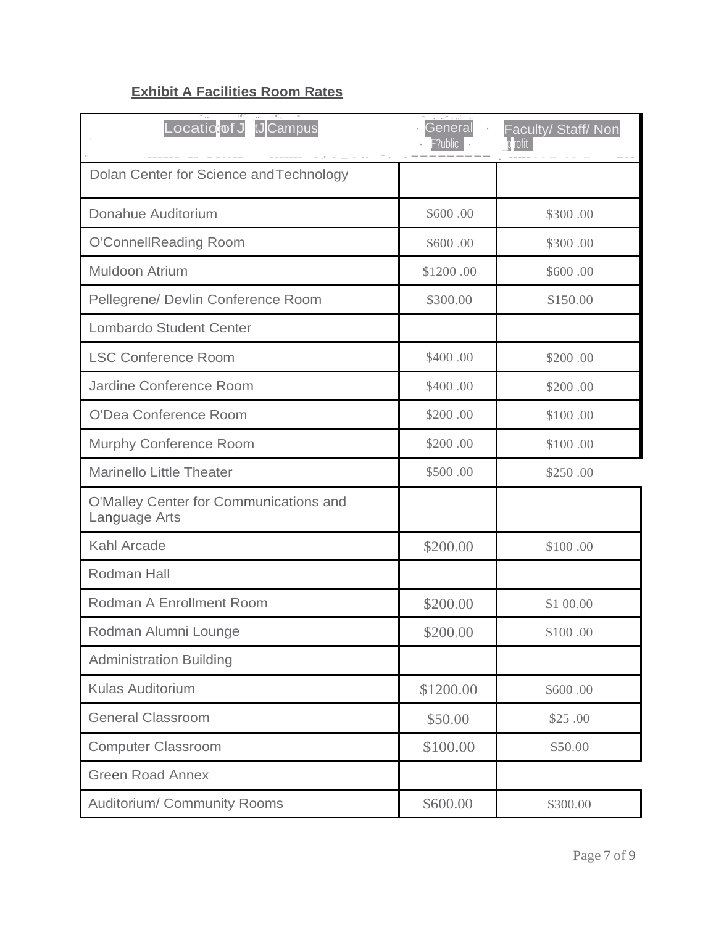# **Exhibit A Facilities Room Rates**

| Locatio <mark>:of J tJ</mark> Campus                    | General<br>F?ublic | Faculty/ Staff/ Non<br>p rofit |
|---------------------------------------------------------|--------------------|--------------------------------|
| Dolan Center for Science and Technology                 |                    |                                |
| Donahue Auditorium                                      | \$600.00           | \$300.00                       |
| O'ConnellReading Room                                   | \$600.00           | \$300.00                       |
| Muldoon Atrium                                          | \$1200.00          | \$600.00                       |
| Pellegrene/ Devlin Conference Room                      | \$300.00           | \$150.00                       |
| <b>Lombardo Student Center</b>                          |                    |                                |
| <b>LSC Conference Room</b>                              | \$400.00           | \$200.00                       |
| Jardine Conference Room                                 | \$400.00           | \$200.00                       |
| O'Dea Conference Room                                   | \$200.00           | \$100.00                       |
| Murphy Conference Room                                  | \$200.00           | \$100.00                       |
| <b>Marinello Little Theater</b>                         | \$500.00           | \$250.00                       |
| O'Malley Center for Communications and<br>Language Arts |                    |                                |
| Kahl Arcade                                             | \$200.00           | \$100.00                       |
| Rodman Hall                                             |                    |                                |
| <b>Rodman A Enrollment Room</b>                         | \$200.00           | \$1 00.00                      |
| Rodman Alumni Lounge                                    | \$200.00           | \$100.00                       |
| <b>Administration Building</b>                          |                    |                                |
| <b>Kulas Auditorium</b>                                 | \$1200.00          | \$600.00                       |
| <b>General Classroom</b>                                | \$50.00            | \$25.00                        |
| <b>Computer Classroom</b>                               | \$100.00           | \$50.00                        |
| <b>Green Road Annex</b>                                 |                    |                                |
| Auditorium/ Community Rooms                             | \$600.00           | \$300.00                       |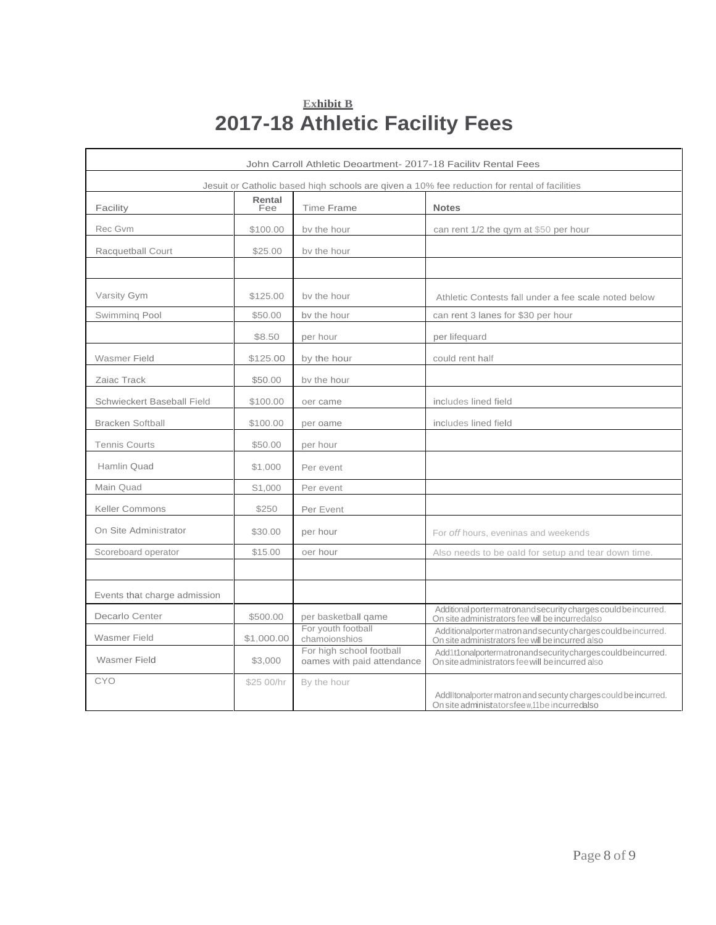# **Exhibit B 2017-18 Athletic Facility Fees**

| John Carroll Athletic Deoartment- 2017-18 Facility Rental Fees                               |               |                                                        |                                                                                                                   |  |
|----------------------------------------------------------------------------------------------|---------------|--------------------------------------------------------|-------------------------------------------------------------------------------------------------------------------|--|
| Jesuit or Catholic based hiqh schools are qiven a 10% fee reduction for rental of facilities |               |                                                        |                                                                                                                   |  |
| Facility                                                                                     | Rental<br>Fee | <b>Time Frame</b>                                      | <b>Notes</b>                                                                                                      |  |
| Rec Gvm                                                                                      | \$100.00      | by the hour                                            | can rent 1/2 the qym at \$50 per hour                                                                             |  |
| Racquetball Court                                                                            | \$25.00       | by the hour                                            |                                                                                                                   |  |
|                                                                                              |               |                                                        |                                                                                                                   |  |
| Varsity Gym                                                                                  | \$125.00      | by the hour                                            | Athletic Contests fall under a fee scale noted below                                                              |  |
| Swimming Pool                                                                                | \$50.00       | by the hour                                            | can rent 3 lanes for \$30 per hour                                                                                |  |
|                                                                                              | \$8.50        | per hour                                               | per lifequard                                                                                                     |  |
| Wasmer Field                                                                                 | \$125.00      | by the hour                                            | could rent half                                                                                                   |  |
| Zaiac Track                                                                                  | \$50.00       | by the hour                                            |                                                                                                                   |  |
| Schwieckert Baseball Field                                                                   | \$100.00      | oer came                                               | includes lined field                                                                                              |  |
| <b>Bracken Softball</b>                                                                      | \$100.00      | per oame                                               | includes lined field                                                                                              |  |
| <b>Tennis Courts</b>                                                                         | \$50.00       | per hour                                               |                                                                                                                   |  |
| Hamlin Quad                                                                                  | \$1,000       | Per event                                              |                                                                                                                   |  |
| Main Quad                                                                                    | S1,000        | Per event                                              |                                                                                                                   |  |
| <b>Keller Commons</b>                                                                        | \$250         | Per Event                                              |                                                                                                                   |  |
| On Site Administrator                                                                        | \$30.00       | per hour                                               | For off hours, eveninas and weekends                                                                              |  |
| Scoreboard operator                                                                          | \$15.00       | oer hour                                               | Also needs to be oald for setup and tear down time.                                                               |  |
|                                                                                              |               |                                                        |                                                                                                                   |  |
| Events that charge admission                                                                 |               |                                                        |                                                                                                                   |  |
| Decarlo Center                                                                               | \$500.00      | per basketball game                                    | Additional portermatronand security charges could be incurred.<br>On site administrators fee will be incurredalso |  |
| <b>Wasmer Field</b>                                                                          | \$1,000.00    | For youth football<br>chamoionshios                    | Additionalportermatron and secunty charges could be incurred.<br>On site administrators fee will be incurred also |  |
| <b>Wasmer Field</b>                                                                          | \$3,000       | For high school football<br>oames with paid attendance | Add1t1onalportermatronandsecuritychargescouldbeincurred.<br>On site administrators fee will be incurred also      |  |
| CYO                                                                                          | \$25 00/hr    | By the hour                                            | AddlItonalporter matron and secunty charges could be incurred.<br>On site administatorsfee w,11 be incurredalso   |  |